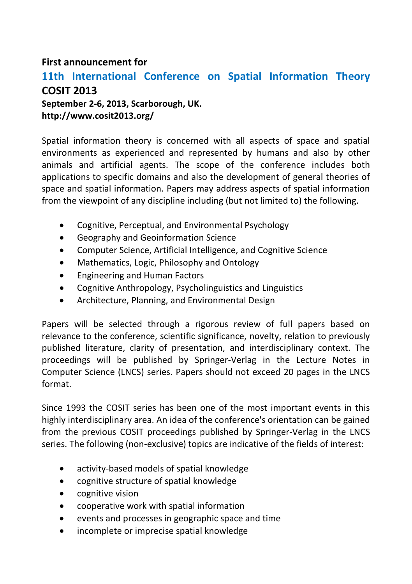## **First announcement for**

# **11th International Conference on Spatial Information Theory COSIT 2013**

**September 2-6, 2013, Scarborough, UK. http://www.cosit2013.org/**

Spatial information theory is concerned with all aspects of space and spatial environments as experienced and represented by humans and also by other animals and artificial agents. The scope of the conference includes both applications to specific domains and also the development of general theories of space and spatial information. Papers may address aspects of spatial information from the viewpoint of any discipline including (but not limited to) the following.

- Cognitive, Perceptual, and Environmental Psychology
- Geography and Geoinformation Science
- Computer Science, Artificial Intelligence, and Cognitive Science
- Mathematics, Logic, Philosophy and Ontology
- Engineering and Human Factors
- Cognitive Anthropology, Psycholinguistics and Linguistics
- Architecture, Planning, and Environmental Design

Papers will be selected through a rigorous review of full papers based on relevance to the conference, scientific significance, novelty, relation to previously published literature, clarity of presentation, and interdisciplinary context. The proceedings will be published by Springer-Verlag in the Lecture Notes in Computer Science (LNCS) series. Papers should not exceed 20 pages in the LNCS format.

Since 1993 the COSIT series has been one of the most important events in this highly interdisciplinary area. An idea of the conference's orientation can be gained from the previous COSIT proceedings published by Springer-Verlag in the LNCS series. The following (non-exclusive) topics are indicative of the fields of interest:

- activity-based models of spatial knowledge
- cognitive structure of spatial knowledge
- cognitive vision
- cooperative work with spatial information
- events and processes in geographic space and time
- incomplete or imprecise spatial knowledge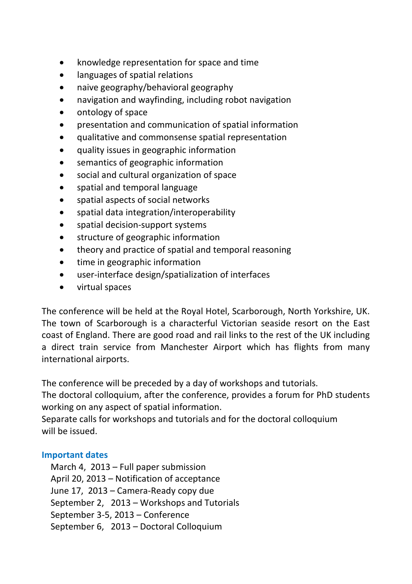- knowledge representation for space and time
- languages of spatial relations
- naive geography/behavioral geography
- navigation and wayfinding, including robot navigation
- ontology of space
- presentation and communication of spatial information
- qualitative and commonsense spatial representation
- quality issues in geographic information
- semantics of geographic information
- social and cultural organization of space
- spatial and temporal language
- spatial aspects of social networks
- spatial data integration/interoperability
- spatial decision-support systems
- structure of geographic information
- theory and practice of spatial and temporal reasoning
- time in geographic information
- user-interface design/spatialization of interfaces
- virtual spaces

The conference will be held at the Royal Hotel, Scarborough, North Yorkshire, UK. The town of Scarborough is a characterful Victorian seaside resort on the East coast of England. There are good road and rail links to the rest of the UK including a direct train service from Manchester Airport which has flights from many international airports.

The conference will be preceded by a day of workshops and tutorials.

The doctoral colloquium, after the conference, provides a forum for PhD students working on any aspect of spatial information.

Separate calls for workshops and tutorials and for the doctoral colloquium will be issued.

#### **Important dates**

 March 4, 2013 – Full paper submission April 20, 2013 – Notification of acceptance June 17, 2013 – Camera-Ready copy due September 2, 2013 – Workshops and Tutorials September 3-5, 2013 – Conference September 6, 2013 – Doctoral Colloquium